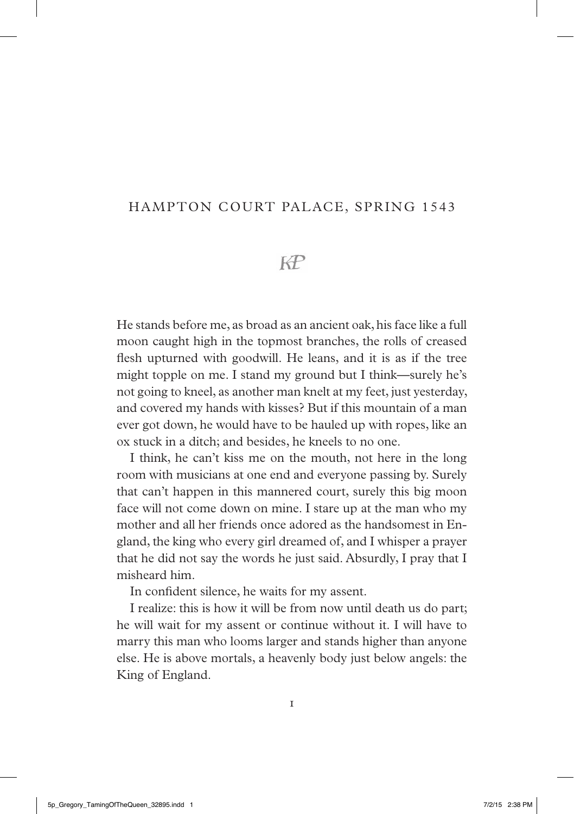## HAMPTON COURT PALACE, SPRING 1543

## $KP$

He stands before me, as broad as an ancient oak, his face like a full moon caught high in the topmost branches, the rolls of creased flesh upturned with goodwill. He leans, and it is as if the tree might topple on me. I stand my ground but I think—surely he's not going to kneel, as another man knelt at my feet, just yesterday, and covered my hands with kisses? But if this mountain of a man ever got down, he would have to be hauled up with ropes, like an ox stuck in a ditch; and besides, he kneels to no one.

I think, he can't kiss me on the mouth, not here in the long room with musicians at one end and everyone passing by. Surely that can't happen in this mannered court, surely this big moon face will not come down on mine. I stare up at the man who my mother and all her friends once adored as the handsomest in England, the king who every girl dreamed of, and I whisper a prayer that he did not say the words he just said. Absurdly, I pray that I misheard him.

In confident silence, he waits for my assent.

I realize: this is how it will be from now until death us do part; he will wait for my assent or continue without it. I will have to marry this man who looms larger and stands higher than anyone else. He is above mortals, a heavenly body just below angels: the King of England.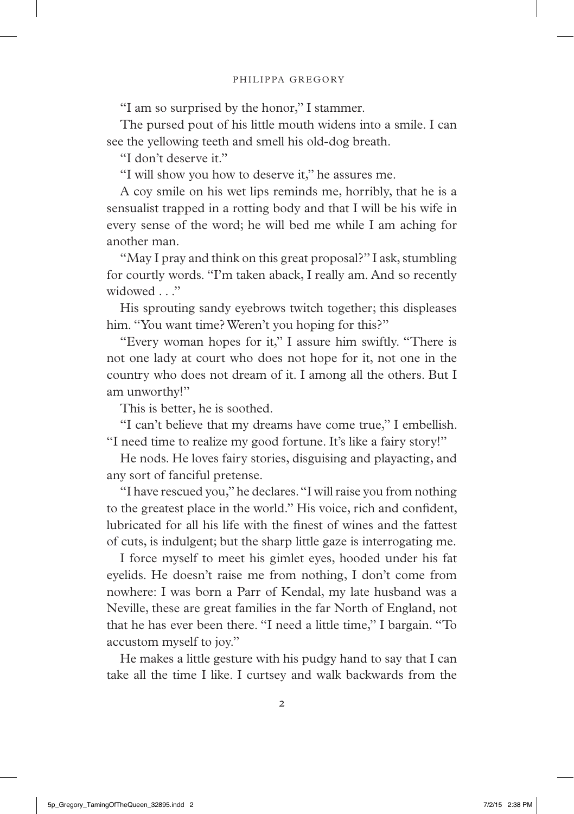"I am so surprised by the honor," I stammer.

The pursed pout of his little mouth widens into a smile. I can see the yellowing teeth and smell his old-dog breath.

"I don't deserve it."

"I will show you how to deserve it," he assures me.

A coy smile on his wet lips reminds me, horribly, that he is a sensualist trapped in a rotting body and that I will be his wife in every sense of the word; he will bed me while I am aching for another man.

"May I pray and think on this great proposal?" I ask, stumbling for courtly words. "I'm taken aback, I really am. And so recently widowed . . ."

His sprouting sandy eyebrows twitch together; this displeases him. "You want time? Weren't you hoping for this?"

"Every woman hopes for it," I assure him swiftly. "There is not one lady at court who does not hope for it, not one in the country who does not dream of it. I among all the others. But I am unworthy!"

This is better, he is soothed.

"I can't believe that my dreams have come true," I embellish. "I need time to realize my good fortune. It's like a fairy story!"

He nods. He loves fairy stories, disguising and playacting, and any sort of fanciful pretense.

"I have rescued you," he declares."I will raise you from nothing to the greatest place in the world." His voice, rich and confdent, lubricated for all his life with the fnest of wines and the fattest of cuts, is indulgent; but the sharp little gaze is interrogating me.

I force myself to meet his gimlet eyes, hooded under his fat eyelids. He doesn't raise me from nothing, I don't come from nowhere: I was born a Parr of Kendal, my late husband was a Neville, these are great families in the far North of England, not that he has ever been there. "I need a little time," I bargain. "To accustom myself to joy."

He makes a little gesture with his pudgy hand to say that I can take all the time I like. I curtsey and walk backwards from the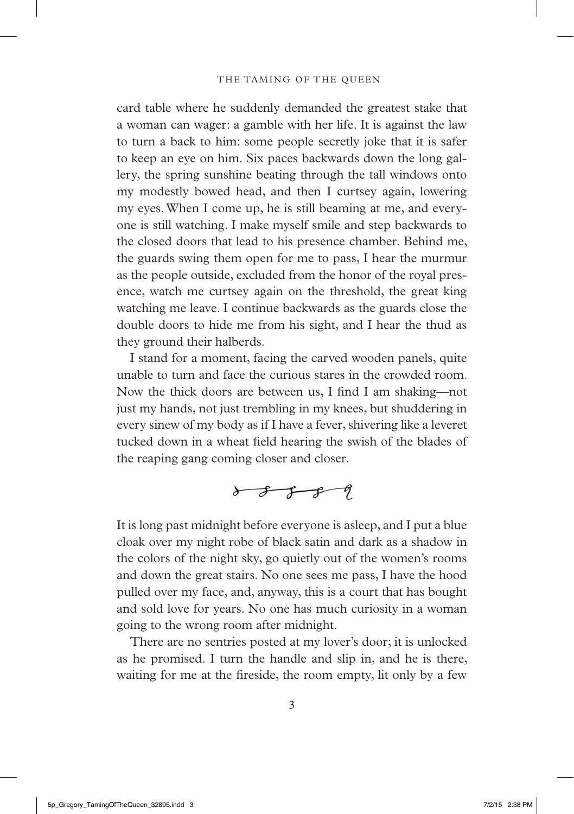card table where he suddenly demanded the greatest stake that a woman can wager: a gamble with her life. It is against the law to turn a back to him: some people secretly joke that it is safer to keep an eye on him. Six paces backwards down the long gallery, the spring sunshine beating through the tall windows onto my modestly bowed head, and then I curtsey again, lowering my eyes. When I come up, he is still beaming at me, and everyone is still watching. I make myself smile and step backwards to the closed doors that lead to his presence chamber. Behind me, the guards swing them open for me to pass, I hear the murmur as the people outside, excluded from the honor of the royal presence, watch me curtsey again on the threshold, the great king watching me leave. I continue backwards as the guards close the double doors to hide me from his sight, and I hear the thud as they ground their halberds.

I stand for a moment, facing the carved wooden panels, quite unable to turn and face the curious stares in the crowded room. Now the thick doors are between us, I fnd I am shaking—not just my hands, not just trembling in my knees, but shuddering in every sinew of my body as if I have a fever, shivering like a leveret tucked down in a wheat feld hearing the swish of the blades of the reaping gang coming closer and closer.

 $8 - 8 - 8 - 9$ 

It is long past midnight before everyone is asleep, and I put a blue cloak over my night robe of black satin and dark as a shadow in the colors of the night sky, go quietly out of the women's rooms and down the great stairs. No one sees me pass, I have the hood pulled over my face, and, anyway, this is a court that has bought and sold love for years. No one has much curiosity in a woman going to the wrong room after midnight.

There are no sentries posted at my lover's door; it is unlocked as he promised. I turn the handle and slip in, and he is there, waiting for me at the freside, the room empty, lit only by a few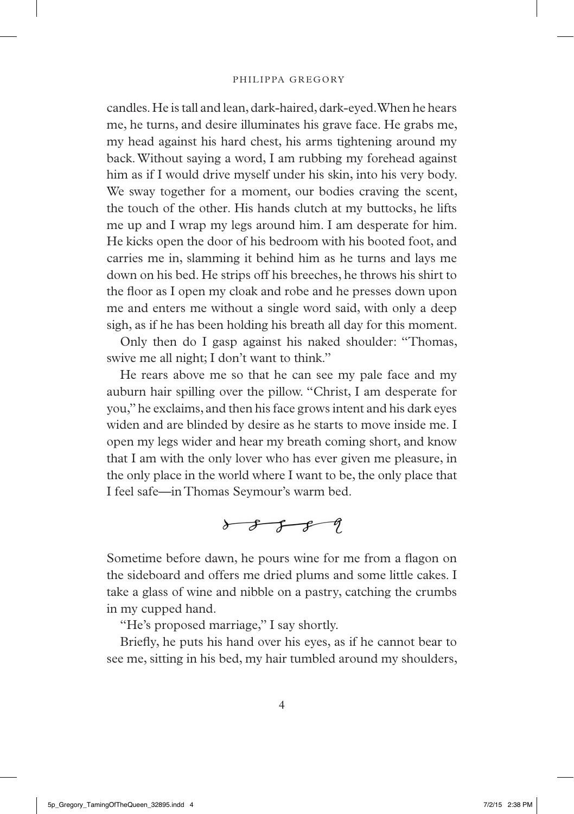candles. He is tall and lean, dark-haired, dark-eyed. When he hears me, he turns, and desire illuminates his grave face. He grabs me, my head against his hard chest, his arms tightening around my back. Without saying a word, I am rubbing my forehead against him as if I would drive myself under his skin, into his very body. We sway together for a moment, our bodies craving the scent, the touch of the other. His hands clutch at my buttocks, he lifts me up and I wrap my legs around him. I am desperate for him. He kicks open the door of his bedroom with his booted foot, and carries me in, slamming it behind him as he turns and lays me down on his bed. He strips off his breeches, he throws his shirt to the foor as I open my cloak and robe and he presses down upon me and enters me without a single word said, with only a deep sigh, as if he has been holding his breath all day for this moment.

Only then do I gasp against his naked shoulder: "Thomas, swive me all night; I don't want to think."

He rears above me so that he can see my pale face and my auburn hair spilling over the pillow. "Christ, I am desperate for you," he exclaims, and then his face grows intent and his dark eyes widen and are blinded by desire as he starts to move inside me. I open my legs wider and hear my breath coming short, and know that I am with the only lover who has ever given me pleasure, in the only place in the world where I want to be, the only place that I feel safe—in Thomas Seymour's warm bed.



Sometime before dawn, he pours wine for me from a fagon on the sideboard and offers me dried plums and some little cakes. I take a glass of wine and nibble on a pastry, catching the crumbs in my cupped hand.

"He's proposed marriage," I say shortly.

Briefy, he puts his hand over his eyes, as if he cannot bear to see me, sitting in his bed, my hair tumbled around my shoulders,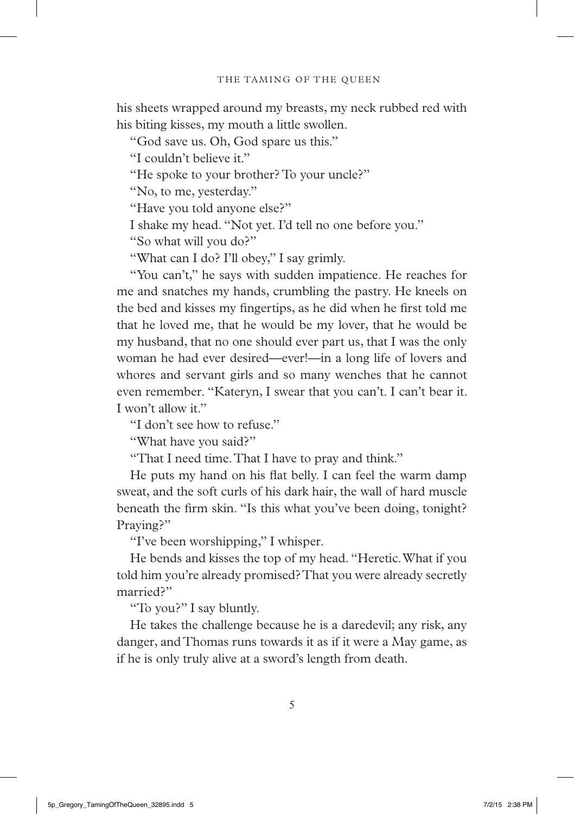his sheets wrapped around my breasts, my neck rubbed red with his biting kisses, my mouth a little swollen.

"God save us. Oh, God spare us this."

"I couldn't believe it."

"He spoke to your brother? To your uncle?"

"No, to me, yesterday."

"Have you told anyone else?"

I shake my head. "Not yet. I'd tell no one before you."

"So what will you do?"

"What can I do? I'll obey," I say grimly.

"You can't," he says with sudden impatience. He reaches for me and snatches my hands, crumbling the pastry. He kneels on the bed and kisses my fngertips, as he did when he frst told me that he loved me, that he would be my lover, that he would be my husband, that no one should ever part us, that I was the only woman he had ever desired—ever!—in a long life of lovers and whores and servant girls and so many wenches that he cannot even remember. "Kateryn, I swear that you can't. I can't bear it. I won't allow it."

"I don't see how to refuse."

"What have you said?"

"That I need time. That I have to pray and think."

He puts my hand on his fat belly. I can feel the warm damp sweat, and the soft curls of his dark hair, the wall of hard muscle beneath the frm skin. "Is this what you've been doing, tonight? Praying?"

"I've been worshipping," I whisper.

He bends and kisses the top of my head. "Heretic. What if you told him you're already promised? That you were already secretly married?"

"To you?" I say bluntly.

He takes the challenge because he is a daredevil; any risk, any danger, and Thomas runs towards it as if it were a May game, as if he is only truly alive at a sword's length from death.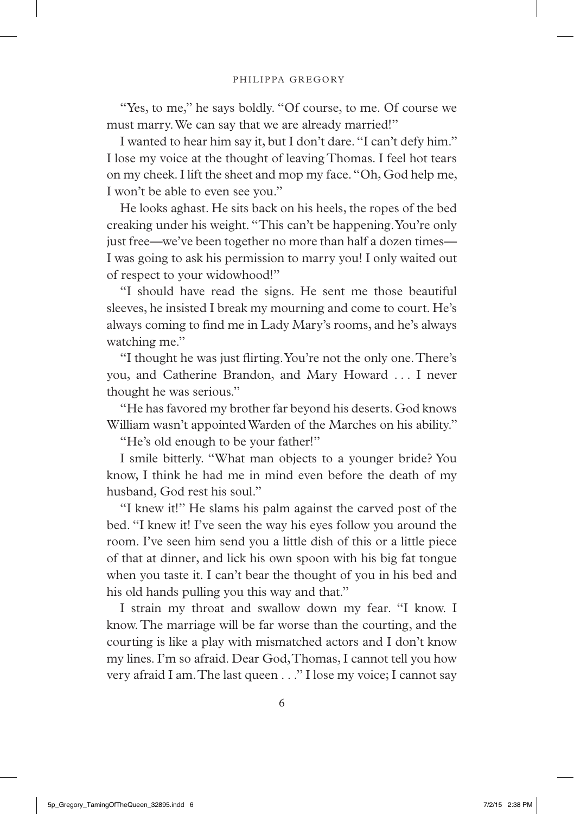"Yes, to me," he says boldly. "Of course, to me. Of course we must marry. We can say that we are already married!"

I wanted to hear him say it, but I don't dare. "I can't defy him." I lose my voice at the thought of leaving Thomas. I feel hot tears on my cheek. I lift the sheet and mop my face. "Oh, God help me, I won't be able to even see you."

He looks aghast. He sits back on his heels, the ropes of the bed creaking under his weight. "This can't be happening. You're only just free—we've been together no more than half a dozen times— I was going to ask his permission to marry you! I only waited out of respect to your widowhood!"

"I should have read the signs. He sent me those beautiful sleeves, he insisted I break my mourning and come to court. He's always coming to fnd me in Lady Mary's rooms, and he's always watching me."

"I thought he was just firting. You're not the only one. There's you, and Catherine Brandon, and Mary Howard . . . I never thought he was serious."

"He has favored my brother far beyond his deserts. God knows William wasn't appointed Warden of the Marches on his ability."

"He's old enough to be your father!"

I smile bitterly. "What man objects to a younger bride? You know, I think he had me in mind even before the death of my husband, God rest his soul."

"I knew it!" He slams his palm against the carved post of the bed. "I knew it! I've seen the way his eyes follow you around the room. I've seen him send you a little dish of this or a little piece of that at dinner, and lick his own spoon with his big fat tongue when you taste it. I can't bear the thought of you in his bed and his old hands pulling you this way and that."

I strain my throat and swallow down my fear. "I know. I know. The marriage will be far worse than the courting, and the courting is like a play with mismatched actors and I don't know my lines. I'm so afraid. Dear God, Thomas, I cannot tell you how very afraid I am. The last queen . . ." I lose my voice; I cannot say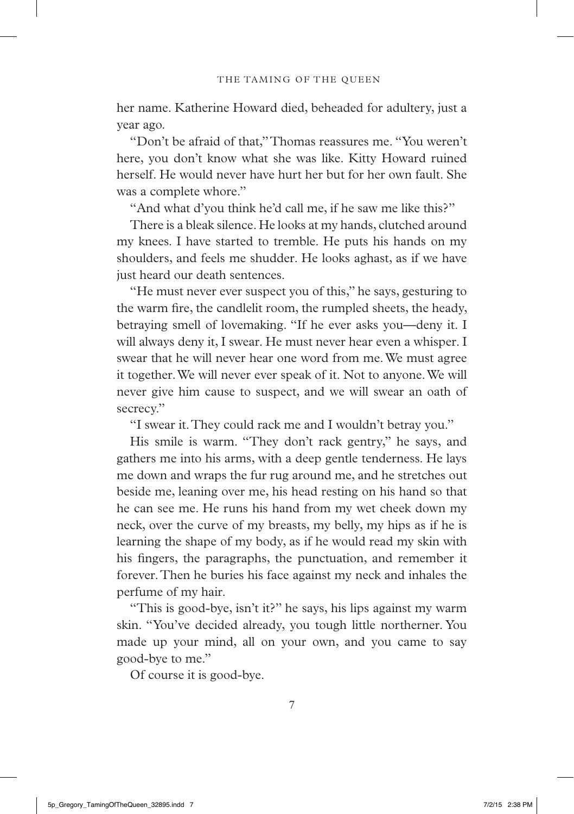her name. Katherine Howard died, beheaded for adultery, just a year ago.

"Don't be afraid of that,"Thomas reassures me. "You weren't here, you don't know what she was like. Kitty Howard ruined herself. He would never have hurt her but for her own fault. She was a complete whore."

"And what d'you think he'd call me, if he saw me like this?"

There is a bleak silence. He looks at my hands, clutched around my knees. I have started to tremble. He puts his hands on my shoulders, and feels me shudder. He looks aghast, as if we have just heard our death sentences.

"He must never ever suspect you of this," he says, gesturing to the warm fre, the candlelit room, the rumpled sheets, the heady, betraying smell of lovemaking. "If he ever asks you—deny it. I will always deny it, I swear. He must never hear even a whisper. I swear that he will never hear one word from me. We must agree it together. We will never ever speak of it. Not to anyone. We will never give him cause to suspect, and we will swear an oath of secrecy."

"I swear it. They could rack me and I wouldn't betray you."

His smile is warm. "They don't rack gentry," he says, and gathers me into his arms, with a deep gentle tenderness. He lays me down and wraps the fur rug around me, and he stretches out beside me, leaning over me, his head resting on his hand so that he can see me. He runs his hand from my wet cheek down my neck, over the curve of my breasts, my belly, my hips as if he is learning the shape of my body, as if he would read my skin with his fngers, the paragraphs, the punctuation, and remember it forever. Then he buries his face against my neck and inhales the perfume of my hair.

"This is good-bye, isn't it?" he says, his lips against my warm skin. "You've decided already, you tough little northerner. You made up your mind, all on your own, and you came to say good-bye to me."

Of course it is good-bye.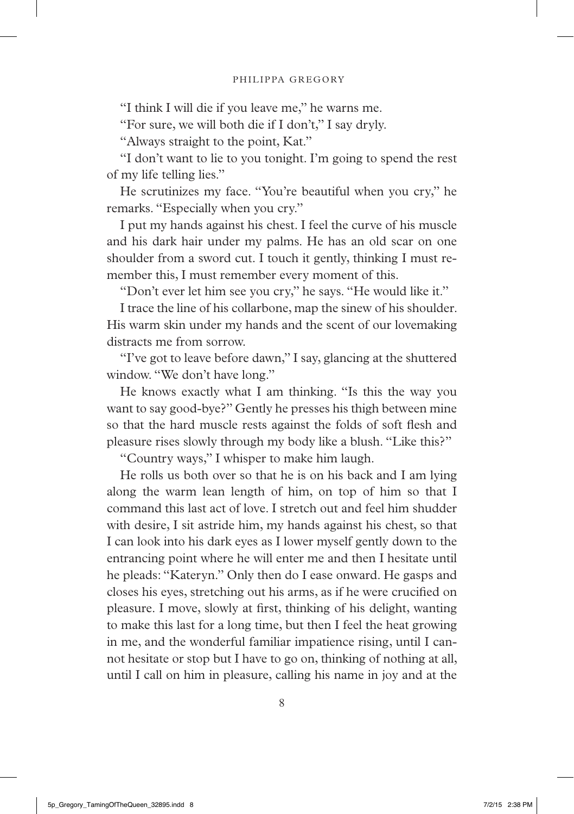"I think I will die if you leave me," he warns me.

"For sure, we will both die if I don't," I say dryly.

"Always straight to the point, Kat."

"I don't want to lie to you tonight. I'm going to spend the rest of my life telling lies."

He scrutinizes my face. "You're beautiful when you cry," he remarks. "Especially when you cry."

I put my hands against his chest. I feel the curve of his muscle and his dark hair under my palms. He has an old scar on one shoulder from a sword cut. I touch it gently, thinking I must remember this, I must remember every moment of this.

"Don't ever let him see you cry," he says. "He would like it."

I trace the line of his collarbone, map the sinew of his shoulder. His warm skin under my hands and the scent of our lovemaking distracts me from sorrow.

"I've got to leave before dawn," I say, glancing at the shuttered window. "We don't have long."

He knows exactly what I am thinking. "Is this the way you want to say good-bye?" Gently he presses his thigh between mine so that the hard muscle rests against the folds of soft fesh and pleasure rises slowly through my body like a blush. "Like this?"

"Country ways," I whisper to make him laugh.

He rolls us both over so that he is on his back and I am lying along the warm lean length of him, on top of him so that I command this last act of love. I stretch out and feel him shudder with desire, I sit astride him, my hands against his chest, so that I can look into his dark eyes as I lower myself gently down to the entrancing point where he will enter me and then I hesitate until he pleads: "Kateryn." Only then do I ease onward. He gasps and closes his eyes, stretching out his arms, as if he were crucifed on pleasure. I move, slowly at frst, thinking of his delight, wanting to make this last for a long time, but then I feel the heat growing in me, and the wonderful familiar impatience rising, until I cannot hesitate or stop but I have to go on, thinking of nothing at all, until I call on him in pleasure, calling his name in joy and at the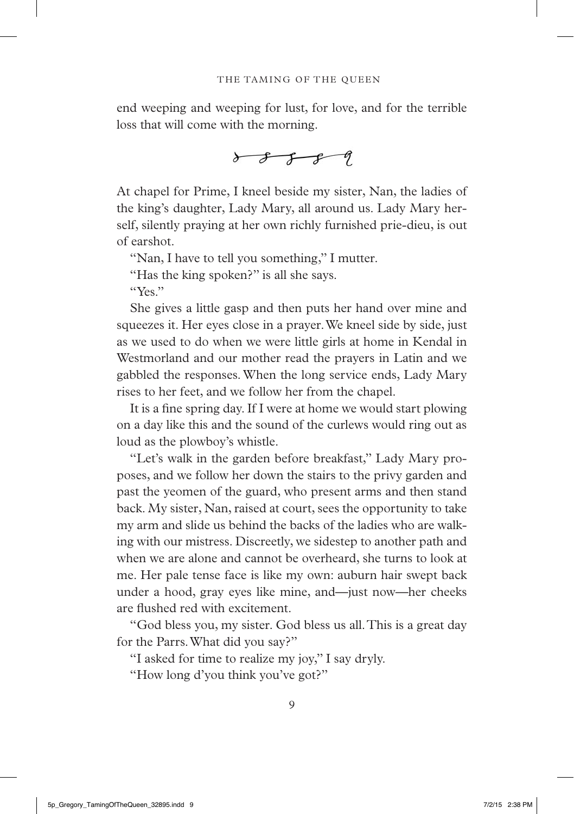end weeping and weeping for lust, for love, and for the terrible loss that will come with the morning.



At chapel for Prime, I kneel beside my sister, Nan, the ladies of the king's daughter, Lady Mary, all around us. Lady Mary herself, silently praying at her own richly furnished prie-dieu, is out of earshot.

"Nan, I have to tell you something," I mutter.

"Has the king spoken?" is all she says.

"Yes."

She gives a little gasp and then puts her hand over mine and squeezes it. Her eyes close in a prayer. We kneel side by side, just as we used to do when we were little girls at home in Kendal in Westmorland and our mother read the prayers in Latin and we gabbled the responses. When the long service ends, Lady Mary rises to her feet, and we follow her from the chapel.

It is a fne spring day. If I were at home we would start plowing on a day like this and the sound of the curlews would ring out as loud as the plowboy's whistle.

"Let's walk in the garden before breakfast," Lady Mary proposes, and we follow her down the stairs to the privy garden and past the yeomen of the guard, who present arms and then stand back. My sister, Nan, raised at court, sees the opportunity to take my arm and slide us behind the backs of the ladies who are walking with our mistress. Discreetly, we sidestep to another path and when we are alone and cannot be overheard, she turns to look at me. Her pale tense face is like my own: auburn hair swept back under a hood, gray eyes like mine, and—just now—her cheeks are fushed red with excitement.

"God bless you, my sister. God bless us all. This is a great day for the Parrs. What did you say?"

"I asked for time to realize my joy," I say dryly.

"How long d'you think you've got?"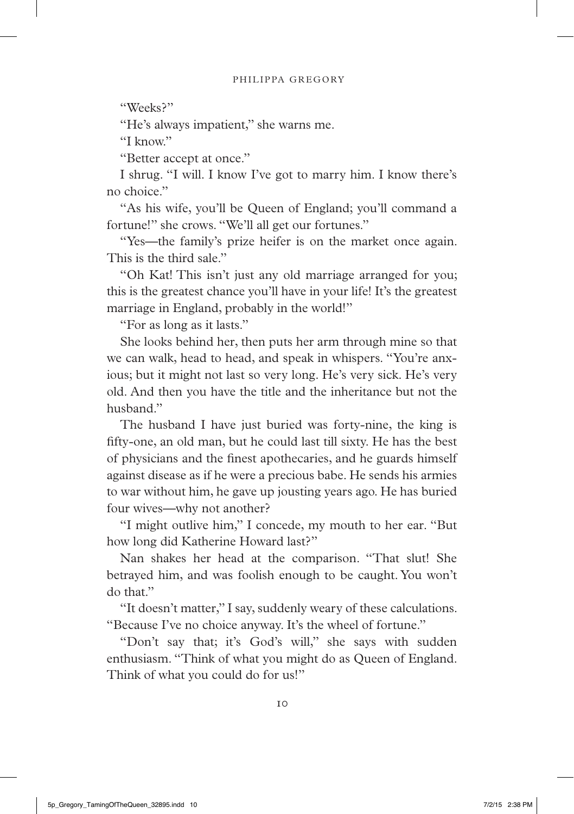"Weeks?"

"He's always impatient," she warns me.

"I know."

"Better accept at once."

I shrug. "I will. I know I've got to marry him. I know there's no choice."

"As his wife, you'll be Queen of England; you'll command a fortune!" she crows. "We'll all get our fortunes."

"Yes—the family's prize heifer is on the market once again. This is the third sale."

"Oh Kat! This isn't just any old marriage arranged for you; this is the greatest chance you'll have in your life! It's the greatest marriage in England, probably in the world!"

"For as long as it lasts."

She looks behind her, then puts her arm through mine so that we can walk, head to head, and speak in whispers. "You're anxious; but it might not last so very long. He's very sick. He's very old. And then you have the title and the inheritance but not the husband."

The husband I have just buried was forty-nine, the king is ffty-one, an old man, but he could last till sixty. He has the best of physicians and the fnest apothecaries, and he guards himself against disease as if he were a precious babe. He sends his armies to war without him, he gave up jousting years ago. He has buried four wives—why not another?

"I might outlive him," I concede, my mouth to her ear. "But how long did Katherine Howard last?"

Nan shakes her head at the comparison. "That slut! She betrayed him, and was foolish enough to be caught. You won't do that."

"It doesn't matter," I say, suddenly weary of these calculations. "Because I've no choice anyway. It's the wheel of fortune."

"Don't say that; it's God's will," she says with sudden enthusiasm. "Think of what you might do as Queen of England. Think of what you could do for us!"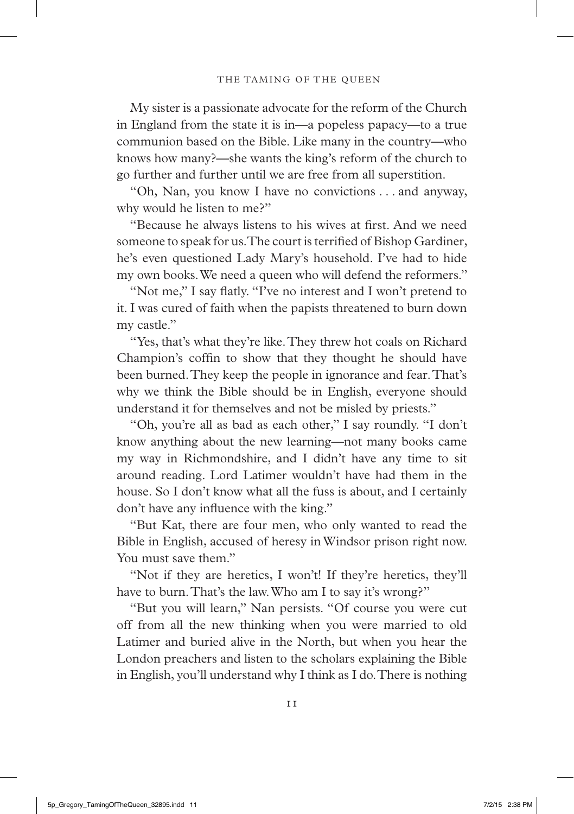My sister is a passionate advocate for the reform of the Church in England from the state it is in—a popeless papacy—to a true communion based on the Bible. Like many in the country—who knows how many?—she wants the king's reform of the church to go further and further until we are free from all superstition.

"Oh, Nan, you know I have no convictions . . . and anyway, why would he listen to me?"

"Because he always listens to his wives at frst. And we need someone to speak for us. The court is terrifed of Bishop Gardiner, he's even questioned Lady Mary's household. I've had to hide my own books. We need a queen who will defend the reformers."

"Not me," I say flatly. "I've no interest and I won't pretend to it. I was cured of faith when the papists threatened to burn down my castle."

"Yes, that's what they're like. They threw hot coals on Richard Champion's coffn to show that they thought he should have been burned. They keep the people in ignorance and fear. That's why we think the Bible should be in English, everyone should understand it for themselves and not be misled by priests."

"Oh, you're all as bad as each other," I say roundly. "I don't know anything about the new learning—not many books came my way in Richmondshire, and I didn't have any time to sit around reading. Lord Latimer wouldn't have had them in the house. So I don't know what all the fuss is about, and I certainly don't have any infuence with the king."

"But Kat, there are four men, who only wanted to read the Bible in English, accused of heresy in Windsor prison right now. You must save them."

"Not if they are heretics, I won't! If they're heretics, they'll have to burn. That's the law. Who am I to say it's wrong?"

"But you will learn," Nan persists. "Of course you were cut off from all the new thinking when you were married to old Latimer and buried alive in the North, but when you hear the London preachers and listen to the scholars explaining the Bible in English, you'll understand why I think as I do. There is nothing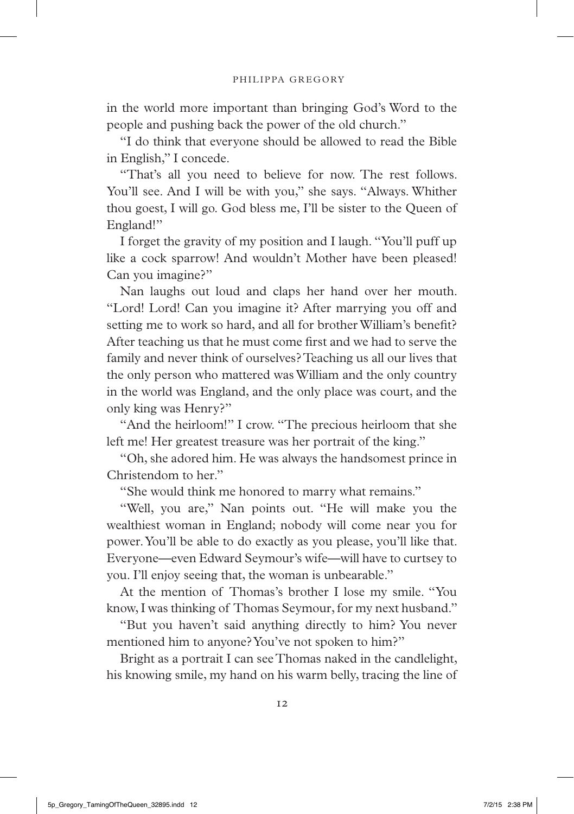in the world more important than bringing God's Word to the people and pushing back the power of the old church."

"I do think that everyone should be allowed to read the Bible in English," I concede.

"That's all you need to believe for now. The rest follows. You'll see. And I will be with you," she says. "Always. Whither thou goest, I will go. God bless me, I'll be sister to the Queen of England!"

I forget the gravity of my position and I laugh. "You'll puff up like a cock sparrow! And wouldn't Mother have been pleased! Can you imagine?"

Nan laughs out loud and claps her hand over her mouth. "Lord! Lord! Can you imagine it? After marrying you off and setting me to work so hard, and all for brother William's beneft? After teaching us that he must come frst and we had to serve the family and never think of ourselves? Teaching us all our lives that the only person who mattered was William and the only country in the world was England, and the only place was court, and the only king was Henry?"

"And the heirloom!" I crow. "The precious heirloom that she left me! Her greatest treasure was her portrait of the king."

"Oh, she adored him. He was always the handsomest prince in Christendom to her."

"She would think me honored to marry what remains."

"Well, you are," Nan points out. "He will make you the wealthiest woman in England; nobody will come near you for power. You'll be able to do exactly as you please, you'll like that. Everyone—even Edward Seymour's wife—will have to curtsey to you. I'll enjoy seeing that, the woman is unbearable."

At the mention of Thomas's brother I lose my smile. "You know, I was thinking of Thomas Seymour, for my next husband."

"But you haven't said anything directly to him? You never mentioned him to anyone? You've not spoken to him?"

Bright as a portrait I can see Thomas naked in the candlelight, his knowing smile, my hand on his warm belly, tracing the line of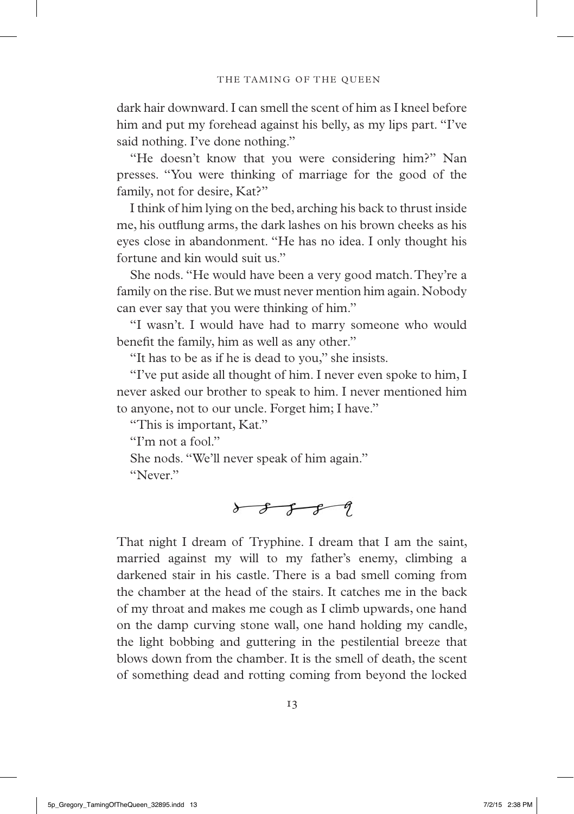dark hair downward. I can smell the scent of him as I kneel before him and put my forehead against his belly, as my lips part. "I've said nothing. I've done nothing."

"He doesn't know that you were considering him?" Nan presses. "You were thinking of marriage for the good of the family, not for desire, Kat?"

I think of him lying on the bed, arching his back to thrust inside me, his outfung arms, the dark lashes on his brown cheeks as his eyes close in abandonment. "He has no idea. I only thought his fortune and kin would suit us."

She nods. "He would have been a very good match. They're a family on the rise. But we must never mention him again. Nobody can ever say that you were thinking of him."

"I wasn't. I would have had to marry someone who would benefit the family, him as well as any other."

"It has to be as if he is dead to you," she insists.

"I've put aside all thought of him. I never even spoke to him, I never asked our brother to speak to him. I never mentioned him to anyone, not to our uncle. Forget him; I have."

"This is important, Kat."

"I'm not a fool."

She nods. "We'll never speak of him again." "Never."

 $\begin{picture}(220,20) \put(0,0){\dashbox{0.5}(5,0){ }} \put(15,0){\dashbox{0.5}(5,0){ }} \put(15,0){\dashbox{0.5}(5,0){ }} \put(15,0){\dashbox{0.5}(5,0){ }} \put(15,0){\dashbox{0.5}(5,0){ }} \put(15,0){\dashbox{0.5}(5,0){ }} \put(15,0){\dashbox{0.5}(5,0){ }} \put(15,0){\dashbox{0.5}(5,0){ }} \put(15,0){\dashbox{0.5}(5,0){ }} \put(15,0){\dashbox{0.5}(5,0){$ 

That night I dream of Tryphine. I dream that I am the saint, married against my will to my father's enemy, climbing a darkened stair in his castle. There is a bad smell coming from the chamber at the head of the stairs. It catches me in the back of my throat and makes me cough as I climb upwards, one hand on the damp curving stone wall, one hand holding my candle, the light bobbing and guttering in the pestilential breeze that blows down from the chamber. It is the smell of death, the scent of something dead and rotting coming from beyond the locked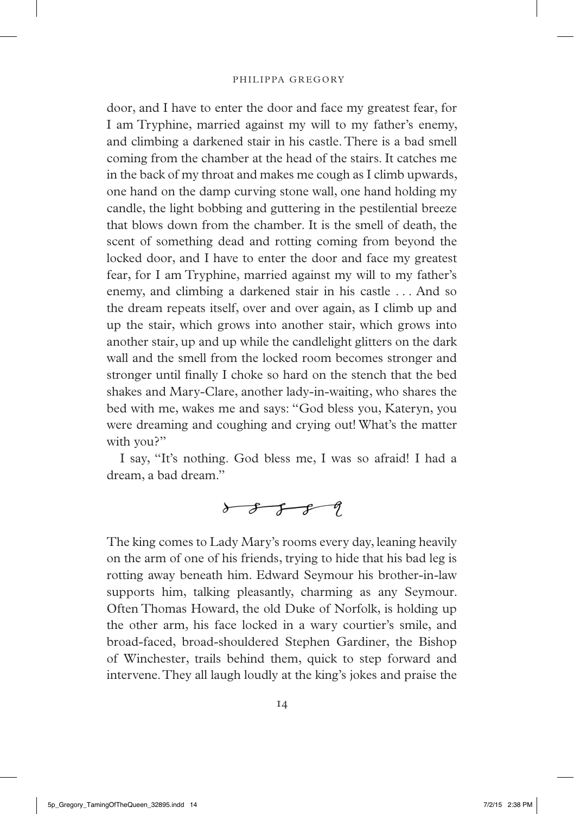door, and I have to enter the door and face my greatest fear, for I am Tryphine, married against my will to my father's enemy, and climbing a darkened stair in his castle. There is a bad smell coming from the chamber at the head of the stairs. It catches me in the back of my throat and makes me cough as I climb upwards, one hand on the damp curving stone wall, one hand holding my candle, the light bobbing and guttering in the pestilential breeze that blows down from the chamber. It is the smell of death, the scent of something dead and rotting coming from beyond the locked door, and I have to enter the door and face my greatest fear, for I am Tryphine, married against my will to my father's enemy, and climbing a darkened stair in his castle . . . And so the dream repeats itself, over and over again, as I climb up and up the stair, which grows into another stair, which grows into another stair, up and up while the candlelight glitters on the dark wall and the smell from the locked room becomes stronger and stronger until fnally I choke so hard on the stench that the bed shakes and Mary-Clare, another lady-in-waiting, who shares the bed with me, wakes me and says: "God bless you, Kateryn, you were dreaming and coughing and crying out! What's the matter with you?"

I say, "It's nothing. God bless me, I was so afraid! I had a dream, a bad dream."



The king comes to Lady Mary's rooms every day, leaning heavily on the arm of one of his friends, trying to hide that his bad leg is rotting away beneath him. Edward Seymour his brother-in-law supports him, talking pleasantly, charming as any Seymour. Often Thomas Howard, the old Duke of Norfolk, is holding up the other arm, his face locked in a wary courtier's smile, and broad-faced, broad-shouldered Stephen Gardiner, the Bishop of Winchester, trails behind them, quick to step forward and intervene. They all laugh loudly at the king's jokes and praise the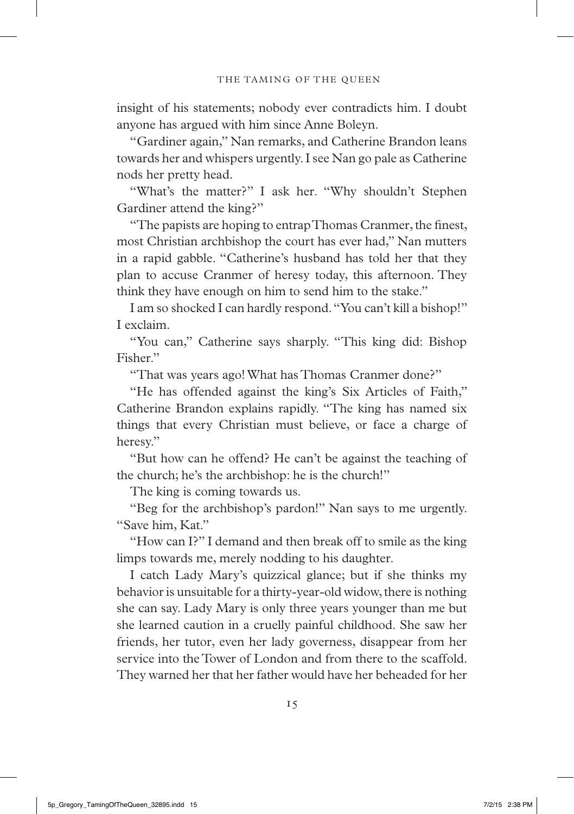insight of his statements; nobody ever contradicts him. I doubt anyone has argued with him since Anne Boleyn.

"Gardiner again," Nan remarks, and Catherine Brandon leans towards her and whispers urgently. I see Nan go pale as Catherine nods her pretty head.

"What's the matter?" I ask her. "Why shouldn't Stephen Gardiner attend the king?"

"The papists are hoping to entrap Thomas Cranmer, the fnest, most Christian archbishop the court has ever had," Nan mutters in a rapid gabble. "Catherine's husband has told her that they plan to accuse Cranmer of heresy today, this afternoon. They think they have enough on him to send him to the stake."

I am so shocked I can hardly respond."You can't kill a bishop!" I exclaim.

"You can," Catherine says sharply. "This king did: Bishop Fisher."

"That was years ago! What has Thomas Cranmer done?"

"He has offended against the king's Six Articles of Faith," Catherine Brandon explains rapidly. "The king has named six things that every Christian must believe, or face a charge of heresy."

"But how can he offend? He can't be against the teaching of the church; he's the archbishop: he is the church!"

The king is coming towards us.

"Beg for the archbishop's pardon!" Nan says to me urgently. "Save him, Kat."

"How can I?" I demand and then break off to smile as the king limps towards me, merely nodding to his daughter.

I catch Lady Mary's quizzical glance; but if she thinks my behavior is unsuitable for a thirty-year-old widow, there is nothing she can say. Lady Mary is only three years younger than me but she learned caution in a cruelly painful childhood. She saw her friends, her tutor, even her lady governess, disappear from her service into the Tower of London and from there to the scaffold. They warned her that her father would have her beheaded for her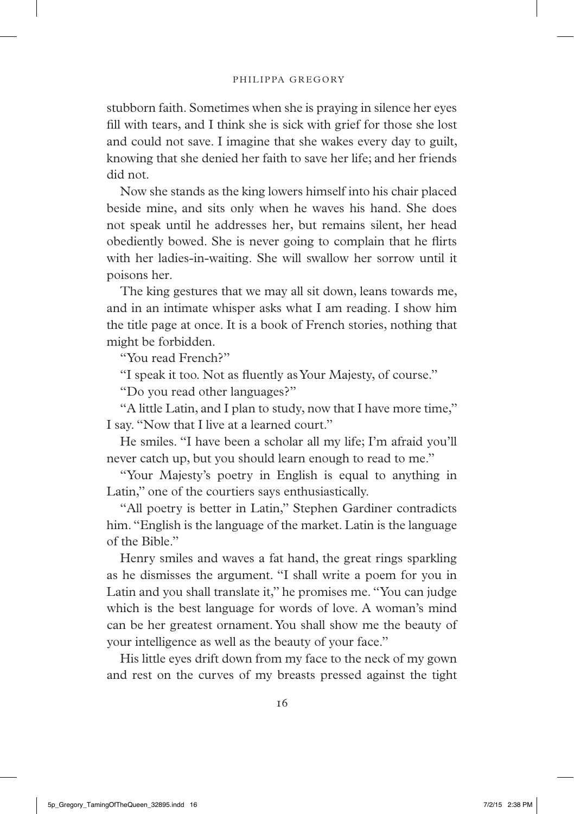stubborn faith. Sometimes when she is praying in silence her eyes fll with tears, and I think she is sick with grief for those she lost and could not save. I imagine that she wakes every day to guilt, knowing that she denied her faith to save her life; and her friends did not.

Now she stands as the king lowers himself into his chair placed beside mine, and sits only when he waves his hand. She does not speak until he addresses her, but remains silent, her head obediently bowed. She is never going to complain that he firts with her ladies-in-waiting. She will swallow her sorrow until it poisons her.

The king gestures that we may all sit down, leans towards me, and in an intimate whisper asks what I am reading. I show him the title page at once. It is a book of French stories, nothing that might be forbidden.

"You read French?"

"I speak it too. Not as fuently as Your Majesty, of course."

"Do you read other languages?"

"A little Latin, and I plan to study, now that I have more time," I say. "Now that I live at a learned court."

He smiles. "I have been a scholar all my life; I'm afraid you'll never catch up, but you should learn enough to read to me."

"Your Majesty's poetry in English is equal to anything in Latin," one of the courtiers says enthusiastically.

"All poetry is better in Latin," Stephen Gardiner contradicts him. "English is the language of the market. Latin is the language of the Bible."

Henry smiles and waves a fat hand, the great rings sparkling as he dismisses the argument. "I shall write a poem for you in Latin and you shall translate it," he promises me. "You can judge which is the best language for words of love. A woman's mind can be her greatest ornament. You shall show me the beauty of your intelligence as well as the beauty of your face."

His little eyes drift down from my face to the neck of my gown and rest on the curves of my breasts pressed against the tight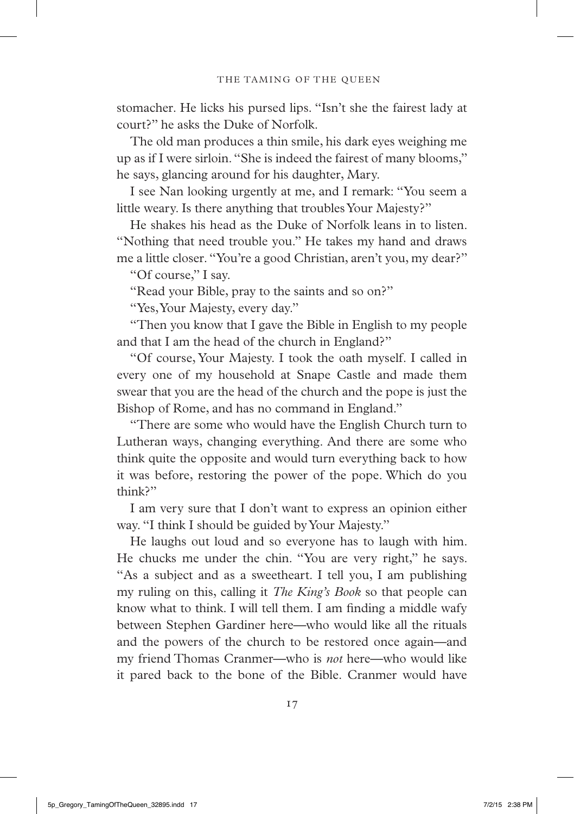stomacher. He licks his pursed lips. "Isn't she the fairest lady at court?" he asks the Duke of Norfolk.

The old man produces a thin smile, his dark eyes weighing me up as if I were sirloin. "She is indeed the fairest of many blooms," he says, glancing around for his daughter, Mary.

I see Nan looking urgently at me, and I remark: "You seem a little weary. Is there anything that troubles Your Majesty?"

He shakes his head as the Duke of Norfolk leans in to listen. "Nothing that need trouble you." He takes my hand and draws me a little closer. "You're a good Christian, aren't you, my dear?"

"Of course," I say.

"Read your Bible, pray to the saints and so on?"

"Yes, Your Majesty, every day."

"Then you know that I gave the Bible in English to my people and that I am the head of the church in England?"

"Of course, Your Majesty. I took the oath myself. I called in every one of my household at Snape Castle and made them swear that you are the head of the church and the pope is just the Bishop of Rome, and has no command in England."

"There are some who would have the English Church turn to Lutheran ways, changing everything. And there are some who think quite the opposite and would turn everything back to how it was before, restoring the power of the pope. Which do you think?"

I am very sure that I don't want to express an opinion either way. "I think I should be guided by Your Majesty."

He laughs out loud and so everyone has to laugh with him. He chucks me under the chin. "You are very right," he says. "As a subject and as a sweetheart. I tell you, I am publishing my ruling on this, calling it *The King's Book* so that people can know what to think. I will tell them. I am fnding a middle wafy between Stephen Gardiner here—who would like all the rituals and the powers of the church to be restored once again—and my friend Thomas Cranmer—who is *not* here—who would like it pared back to the bone of the Bible. Cranmer would have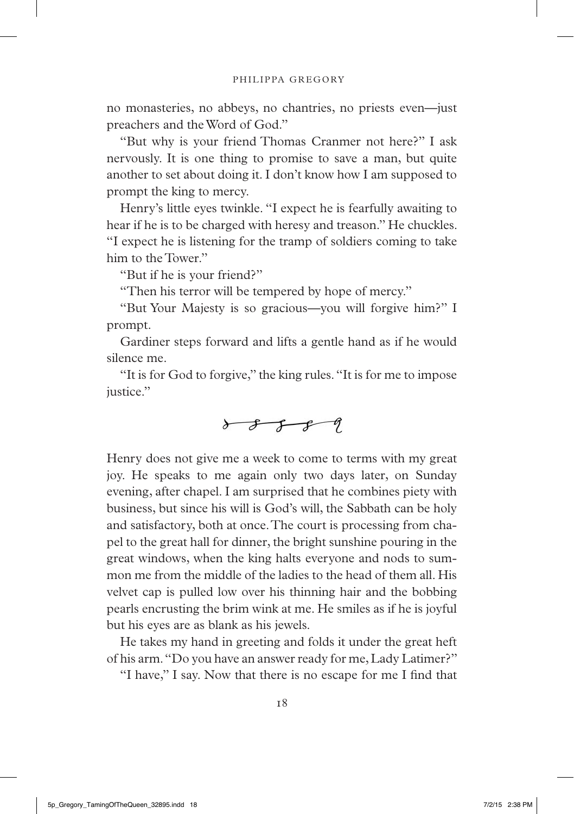no monasteries, no abbeys, no chantries, no priests even—just preachers and the Word of God."

"But why is your friend Thomas Cranmer not here?" I ask nervously. It is one thing to promise to save a man, but quite another to set about doing it. I don't know how I am supposed to prompt the king to mercy.

Henry's little eyes twinkle. "I expect he is fearfully awaiting to hear if he is to be charged with heresy and treason." He chuckles. "I expect he is listening for the tramp of soldiers coming to take him to the Tower."

"But if he is your friend?"

"Then his terror will be tempered by hope of mercy."

"But Your Majesty is so gracious—you will forgive him?" I prompt.

Gardiner steps forward and lifts a gentle hand as if he would silence me.

"It is for God to forgive," the king rules. "It is for me to impose justice."



Henry does not give me a week to come to terms with my great joy. He speaks to me again only two days later, on Sunday evening, after chapel. I am surprised that he combines piety with business, but since his will is God's will, the Sabbath can be holy and satisfactory, both at once. The court is processing from chapel to the great hall for dinner, the bright sunshine pouring in the great windows, when the king halts everyone and nods to summon me from the middle of the ladies to the head of them all. His velvet cap is pulled low over his thinning hair and the bobbing pearls encrusting the brim wink at me. He smiles as if he is joyful but his eyes are as blank as his jewels.

He takes my hand in greeting and folds it under the great heft of his arm."Do you have an answer ready for me, Lady Latimer?"

"I have," I say. Now that there is no escape for me I fnd that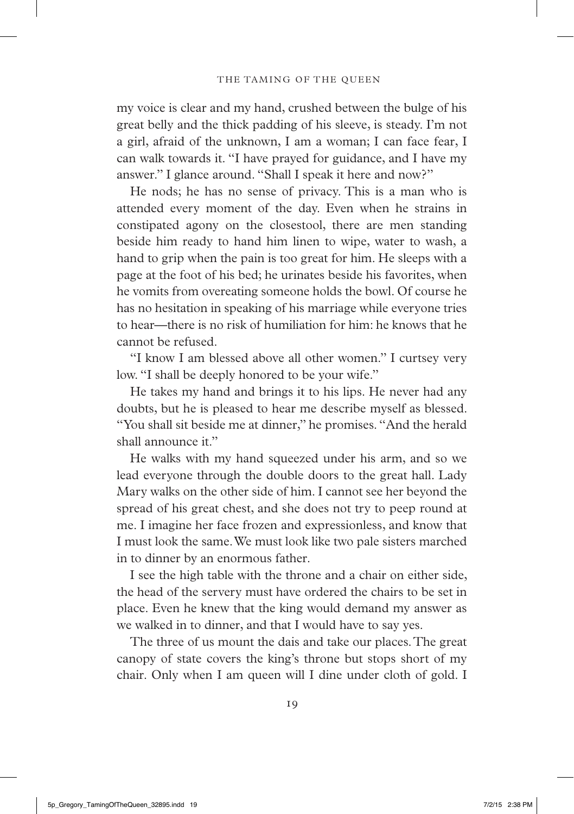my voice is clear and my hand, crushed between the bulge of his great belly and the thick padding of his sleeve, is steady. I'm not a girl, afraid of the unknown, I am a woman; I can face fear, I can walk towards it. "I have prayed for guidance, and I have my answer." I glance around. "Shall I speak it here and now?"

He nods; he has no sense of privacy. This is a man who is attended every moment of the day. Even when he strains in constipated agony on the closestool, there are men standing beside him ready to hand him linen to wipe, water to wash, a hand to grip when the pain is too great for him. He sleeps with a page at the foot of his bed; he urinates beside his favorites, when he vomits from overeating someone holds the bowl. Of course he has no hesitation in speaking of his marriage while everyone tries to hear—there is no risk of humiliation for him: he knows that he cannot be refused.

"I know I am blessed above all other women." I curtsey very low. "I shall be deeply honored to be your wife."

He takes my hand and brings it to his lips. He never had any doubts, but he is pleased to hear me describe myself as blessed. "You shall sit beside me at dinner," he promises. "And the herald shall announce it."

He walks with my hand squeezed under his arm, and so we lead everyone through the double doors to the great hall. Lady Mary walks on the other side of him. I cannot see her beyond the spread of his great chest, and she does not try to peep round at me. I imagine her face frozen and expressionless, and know that I must look the same. We must look like two pale sisters marched in to dinner by an enormous father.

I see the high table with the throne and a chair on either side, the head of the servery must have ordered the chairs to be set in place. Even he knew that the king would demand my answer as we walked in to dinner, and that I would have to say yes.

The three of us mount the dais and take our places. The great canopy of state covers the king's throne but stops short of my chair. Only when I am queen will I dine under cloth of gold. I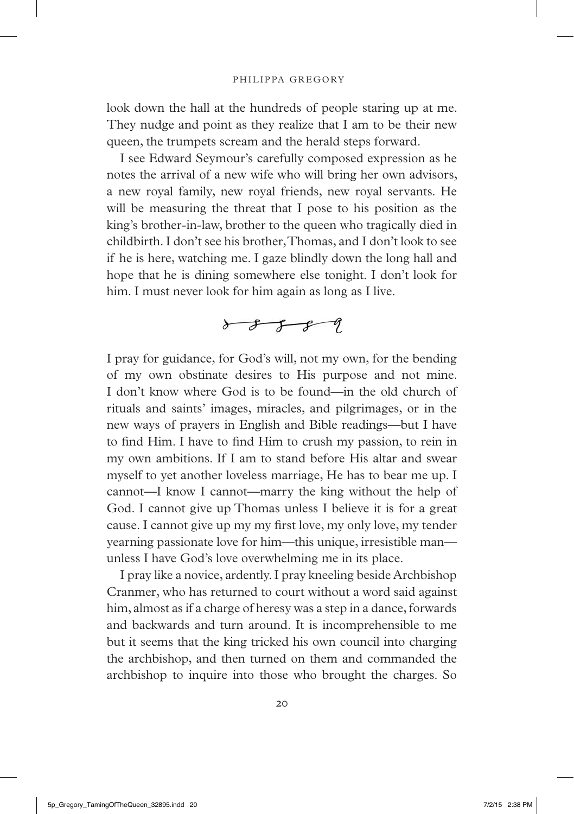look down the hall at the hundreds of people staring up at me. They nudge and point as they realize that I am to be their new queen, the trumpets scream and the herald steps forward.

I see Edward Seymour's carefully composed expression as he notes the arrival of a new wife who will bring her own advisors, a new royal family, new royal friends, new royal servants. He will be measuring the threat that I pose to his position as the king's brother-in-law, brother to the queen who tragically died in childbirth. I don't see his brother, Thomas, and I don't look to see if he is here, watching me. I gaze blindly down the long hall and hope that he is dining somewhere else tonight. I don't look for him. I must never look for him again as long as I live.



I pray for guidance, for God's will, not my own, for the bending of my own obstinate desires to His purpose and not mine. I don't know where God is to be found—in the old church of rituals and saints' images, miracles, and pilgrimages, or in the new ways of prayers in English and Bible readings—but I have to fnd Him. I have to fnd Him to crush my passion, to rein in my own ambitions. If I am to stand before His altar and swear myself to yet another loveless marriage, He has to bear me up. I cannot—I know I cannot—marry the king without the help of God. I cannot give up Thomas unless I believe it is for a great cause. I cannot give up my my frst love, my only love, my tender yearning passionate love for him—this unique, irresistible man unless I have God's love overwhelming me in its place.

I pray like a novice, ardently. I pray kneeling beside Archbishop Cranmer, who has returned to court without a word said against him, almost as if a charge of heresy was a step in a dance, forwards and backwards and turn around. It is incomprehensible to me but it seems that the king tricked his own council into charging the archbishop, and then turned on them and commanded the archbishop to inquire into those who brought the charges. So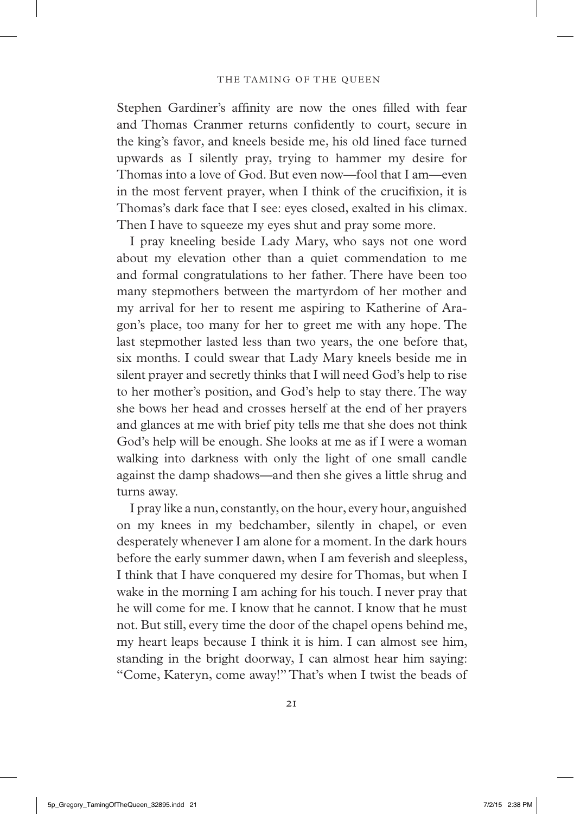Stephen Gardiner's affnity are now the ones flled with fear and Thomas Cranmer returns confdently to court, secure in the king's favor, and kneels beside me, his old lined face turned upwards as I silently pray, trying to hammer my desire for Thomas into a love of God. But even now—fool that I am—even in the most fervent prayer, when I think of the crucifxion, it is Thomas's dark face that I see: eyes closed, exalted in his climax. Then I have to squeeze my eyes shut and pray some more.

I pray kneeling beside Lady Mary, who says not one word about my elevation other than a quiet commendation to me and formal congratulations to her father. There have been too many stepmothers between the martyrdom of her mother and my arrival for her to resent me aspiring to Katherine of Aragon's place, too many for her to greet me with any hope. The last stepmother lasted less than two years, the one before that, six months. I could swear that Lady Mary kneels beside me in silent prayer and secretly thinks that I will need God's help to rise to her mother's position, and God's help to stay there. The way she bows her head and crosses herself at the end of her prayers and glances at me with brief pity tells me that she does not think God's help will be enough. She looks at me as if I were a woman walking into darkness with only the light of one small candle against the damp shadows—and then she gives a little shrug and turns away.

I pray like a nun, constantly, on the hour, every hour, anguished on my knees in my bedchamber, silently in chapel, or even desperately whenever I am alone for a moment. In the dark hours before the early summer dawn, when I am feverish and sleepless, I think that I have conquered my desire for Thomas, but when I wake in the morning I am aching for his touch. I never pray that he will come for me. I know that he cannot. I know that he must not. But still, every time the door of the chapel opens behind me, my heart leaps because I think it is him. I can almost see him, standing in the bright doorway, I can almost hear him saying: "Come, Kateryn, come away!" That's when I twist the beads of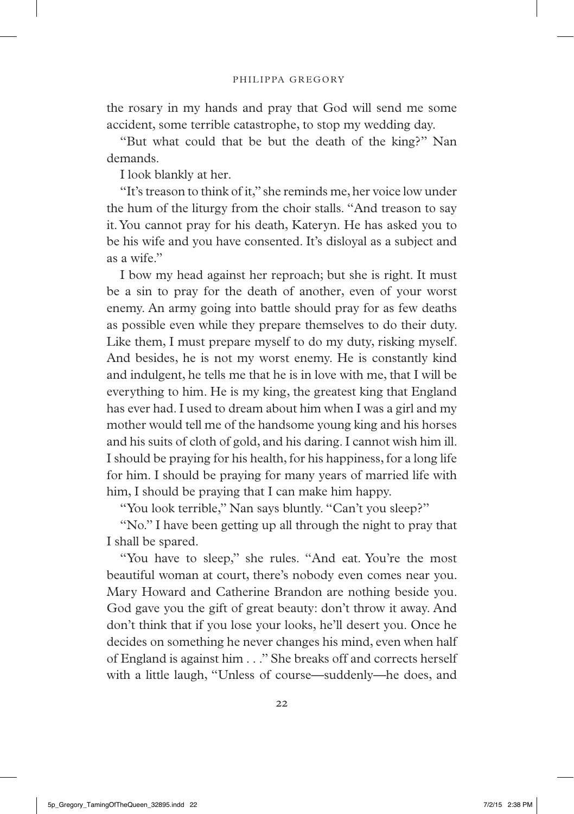the rosary in my hands and pray that God will send me some accident, some terrible catastrophe, to stop my wedding day.

"But what could that be but the death of the king?" Nan demands.

I look blankly at her.

"It's treason to think of it," she reminds me, her voice low under the hum of the liturgy from the choir stalls. "And treason to say it. You cannot pray for his death, Kateryn. He has asked you to be his wife and you have consented. It's disloyal as a subject and as a wife."

I bow my head against her reproach; but she is right. It must be a sin to pray for the death of another, even of your worst enemy. An army going into battle should pray for as few deaths as possible even while they prepare themselves to do their duty. Like them, I must prepare myself to do my duty, risking myself. And besides, he is not my worst enemy. He is constantly kind and indulgent, he tells me that he is in love with me, that I will be everything to him. He is my king, the greatest king that England has ever had. I used to dream about him when I was a girl and my mother would tell me of the handsome young king and his horses and his suits of cloth of gold, and his daring. I cannot wish him ill. I should be praying for his health, for his happiness, for a long life for him. I should be praying for many years of married life with him, I should be praying that I can make him happy.

"You look terrible," Nan says bluntly. "Can't you sleep?"

"No." I have been getting up all through the night to pray that I shall be spared.

"You have to sleep," she rules. "And eat. You're the most beautiful woman at court, there's nobody even comes near you. Mary Howard and Catherine Brandon are nothing beside you. God gave you the gift of great beauty: don't throw it away. And don't think that if you lose your looks, he'll desert you. Once he decides on something he never changes his mind, even when half of England is against him . . ." She breaks off and corrects herself with a little laugh, "Unless of course—suddenly—he does, and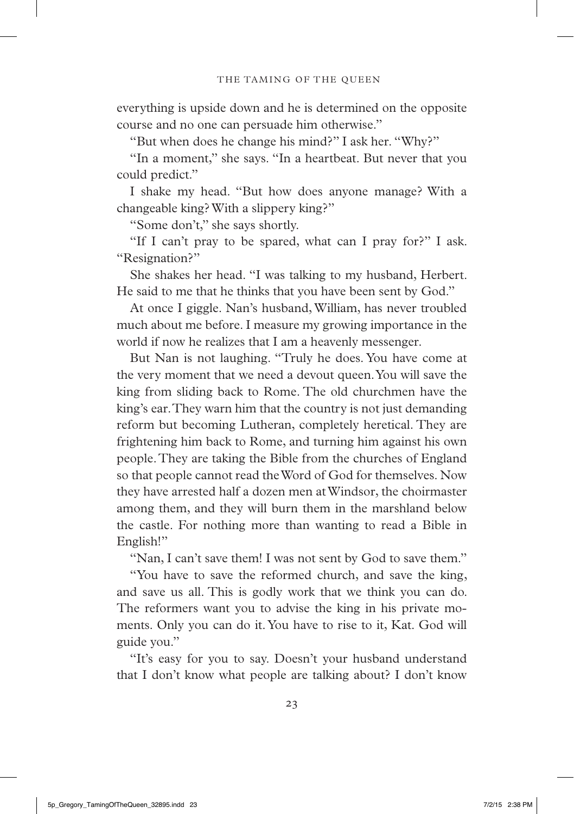everything is upside down and he is determined on the opposite course and no one can persuade him otherwise."

"But when does he change his mind?" I ask her. "Why?"

"In a moment," she says. "In a heartbeat. But never that you could predict."

I shake my head. "But how does anyone manage? With a changeable king? With a slippery king?"

"Some don't," she says shortly.

"If I can't pray to be spared, what can I pray for?" I ask. "Resignation?"

She shakes her head. "I was talking to my husband, Herbert. He said to me that he thinks that you have been sent by God."

At once I giggle. Nan's husband, William, has never troubled much about me before. I measure my growing importance in the world if now he realizes that I am a heavenly messenger.

But Nan is not laughing. "Truly he does. You have come at the very moment that we need a devout queen. You will save the king from sliding back to Rome. The old churchmen have the king's ear. They warn him that the country is not just demanding reform but becoming Lutheran, completely heretical. They are frightening him back to Rome, and turning him against his own people. They are taking the Bible from the churches of England so that people cannot read the Word of God for themselves. Now they have arrested half a dozen men at Windsor, the choirmaster among them, and they will burn them in the marshland below the castle. For nothing more than wanting to read a Bible in English!"

"Nan, I can't save them! I was not sent by God to save them."

"You have to save the reformed church, and save the king, and save us all. This is godly work that we think you can do. The reformers want you to advise the king in his private moments. Only you can do it. You have to rise to it, Kat. God will guide you."

"It's easy for you to say. Doesn't your husband understand that I don't know what people are talking about? I don't know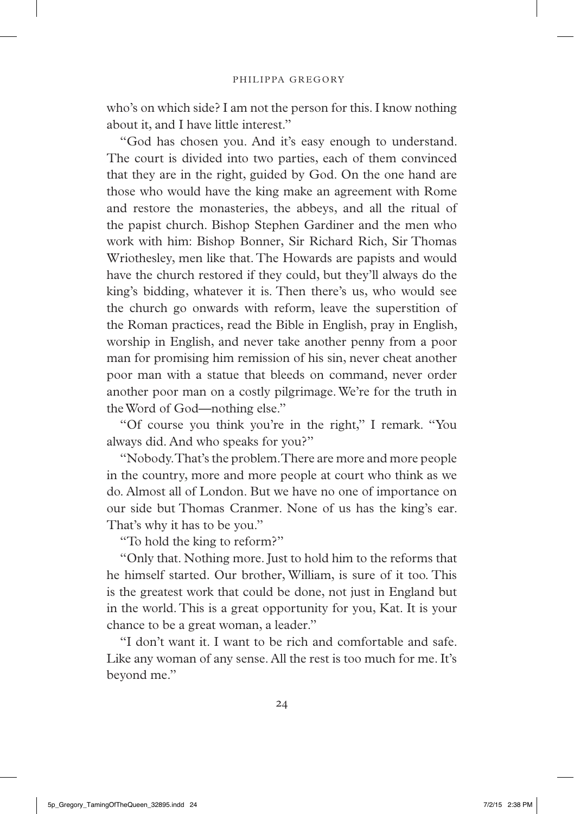who's on which side? I am not the person for this. I know nothing about it, and I have little interest."

"God has chosen you. And it's easy enough to understand. The court is divided into two parties, each of them convinced that they are in the right, guided by God. On the one hand are those who would have the king make an agreement with Rome and restore the monasteries, the abbeys, and all the ritual of the papist church. Bishop Stephen Gardiner and the men who work with him: Bishop Bonner, Sir Richard Rich, Sir Thomas Wriothesley, men like that. The Howards are papists and would have the church restored if they could, but they'll always do the king's bidding, whatever it is. Then there's us, who would see the church go onwards with reform, leave the superstition of the Roman practices, read the Bible in English, pray in English, worship in English, and never take another penny from a poor man for promising him remission of his sin, never cheat another poor man with a statue that bleeds on command, never order another poor man on a costly pilgrimage. We're for the truth in the Word of God—nothing else."

"Of course you think you're in the right," I remark. "You always did. And who speaks for you?"

"Nobody. That's the problem. There are more and more people in the country, more and more people at court who think as we do. Almost all of London. But we have no one of importance on our side but Thomas Cranmer. None of us has the king's ear. That's why it has to be you."

"To hold the king to reform?"

"Only that. Nothing more. Just to hold him to the reforms that he himself started. Our brother, William, is sure of it too. This is the greatest work that could be done, not just in England but in the world. This is a great opportunity for you, Kat. It is your chance to be a great woman, a leader."

"I don't want it. I want to be rich and comfortable and safe. Like any woman of any sense. All the rest is too much for me. It's beyond me."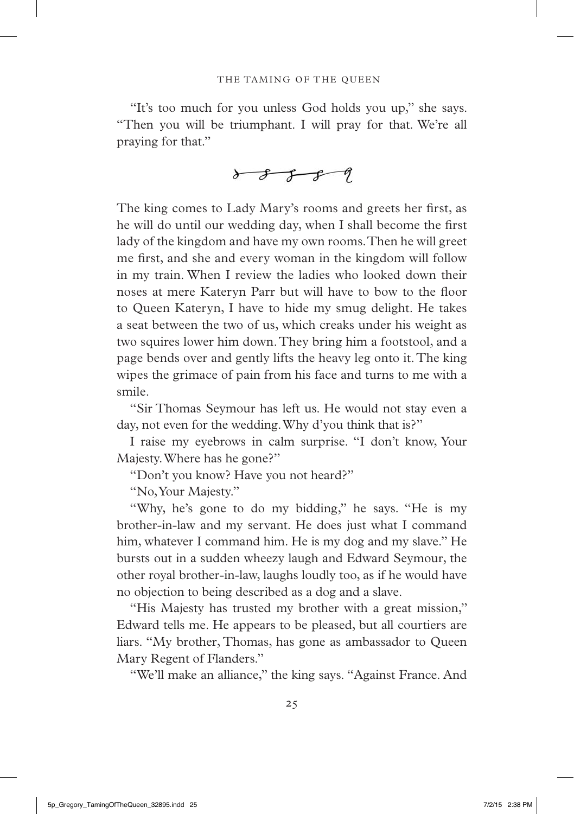"It's too much for you unless God holds you up," she says. "Then you will be triumphant. I will pray for that. We're all praying for that."



The king comes to Lady Mary's rooms and greets her frst, as he will do until our wedding day, when I shall become the frst lady of the kingdom and have my own rooms. Then he will greet me frst, and she and every woman in the kingdom will follow in my train. When I review the ladies who looked down their noses at mere Kateryn Parr but will have to bow to the foor to Queen Kateryn, I have to hide my smug delight. He takes a seat between the two of us, which creaks under his weight as two squires lower him down. They bring him a footstool, and a page bends over and gently lifts the heavy leg onto it. The king wipes the grimace of pain from his face and turns to me with a smile.

"Sir Thomas Seymour has left us. He would not stay even a day, not even for the wedding. Why d'you think that is?"

I raise my eyebrows in calm surprise. "I don't know, Your Majesty. Where has he gone?"

"Don't you know? Have you not heard?"

"No, Your Majesty."

"Why, he's gone to do my bidding," he says. "He is my brother-in-law and my servant. He does just what I command him, whatever I command him. He is my dog and my slave." He bursts out in a sudden wheezy laugh and Edward Seymour, the other royal brother-in-law, laughs loudly too, as if he would have no objection to being described as a dog and a slave.

"His Majesty has trusted my brother with a great mission," Edward tells me. He appears to be pleased, but all courtiers are liars. "My brother, Thomas, has gone as ambassador to Queen Mary Regent of Flanders."

"We'll make an alliance," the king says. "Against France. And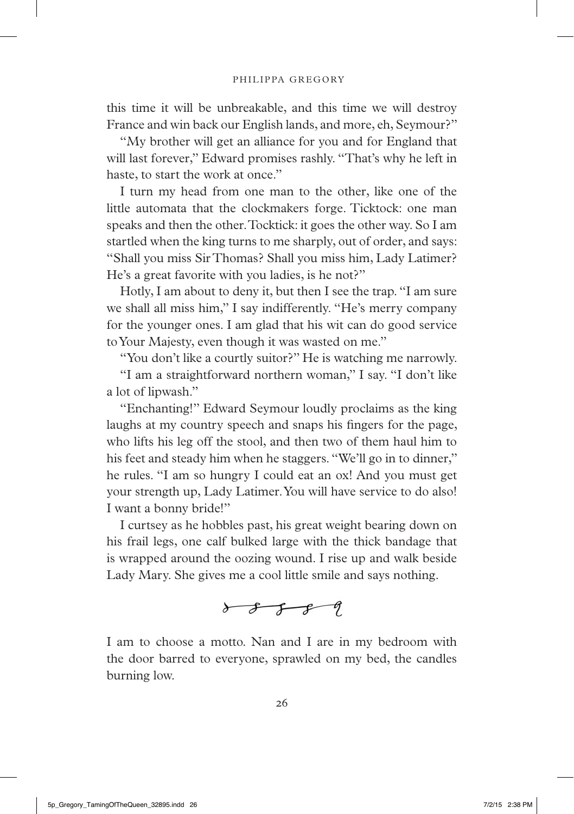this time it will be unbreakable, and this time we will destroy France and win back our English lands, and more, eh, Seymour?"

"My brother will get an alliance for you and for England that will last forever," Edward promises rashly. "That's why he left in haste, to start the work at once."

I turn my head from one man to the other, like one of the little automata that the clockmakers forge. Ticktock: one man speaks and then the other. Tocktick: it goes the other way. So I am startled when the king turns to me sharply, out of order, and says: "Shall you miss Sir Thomas? Shall you miss him, Lady Latimer? He's a great favorite with you ladies, is he not?"

Hotly, I am about to deny it, but then I see the trap. "I am sure we shall all miss him," I say indifferently. "He's merry company for the younger ones. I am glad that his wit can do good service to Your Majesty, even though it was wasted on me."

"You don't like a courtly suitor?" He is watching me narrowly.

"I am a straightforward northern woman," I say. "I don't like a lot of lipwash."

"Enchanting!" Edward Seymour loudly proclaims as the king laughs at my country speech and snaps his fngers for the page, who lifts his leg off the stool, and then two of them haul him to his feet and steady him when he staggers. "We'll go in to dinner," he rules. "I am so hungry I could eat an ox! And you must get your strength up, Lady Latimer. You will have service to do also! I want a bonny bride!"

I curtsey as he hobbles past, his great weight bearing down on his frail legs, one calf bulked large with the thick bandage that is wrapped around the oozing wound. I rise up and walk beside Lady Mary. She gives me a cool little smile and says nothing.



I am to choose a motto. Nan and I are in my bedroom with the door barred to everyone, sprawled on my bed, the candles burning low.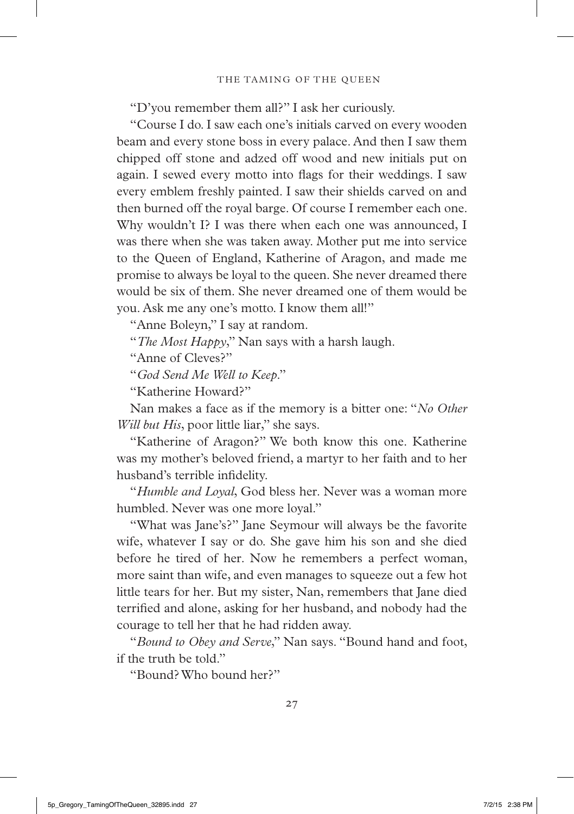"D'you remember them all?" I ask her curiously.

"Course I do. I saw each one's initials carved on every wooden beam and every stone boss in every palace. And then I saw them chipped off stone and adzed off wood and new initials put on again. I sewed every motto into fags for their weddings. I saw every emblem freshly painted. I saw their shields carved on and then burned off the royal barge. Of course I remember each one. Why wouldn't I? I was there when each one was announced, I was there when she was taken away. Mother put me into service to the Queen of England, Katherine of Aragon, and made me promise to always be loyal to the queen. She never dreamed there would be six of them. She never dreamed one of them would be you. Ask me any one's motto. I know them all!"

"Anne Boleyn," I say at random.

"*The Most Happy*," Nan says with a harsh laugh.

"Anne of Cleves?"

"*God Send Me Well to Keep*."

"Katherine Howard?"

Nan makes a face as if the memory is a bitter one: "*No Other Will but His*, poor little liar," she says.

"Katherine of Aragon?" We both know this one. Katherine was my mother's beloved friend, a martyr to her faith and to her husband's terrible infdelity.

"*Humble and Loyal*, God bless her. Never was a woman more humbled. Never was one more loyal."

"What was Jane's?" Jane Seymour will always be the favorite wife, whatever I say or do. She gave him his son and she died before he tired of her. Now he remembers a perfect woman, more saint than wife, and even manages to squeeze out a few hot little tears for her. But my sister, Nan, remembers that Jane died terrifed and alone, asking for her husband, and nobody had the courage to tell her that he had ridden away.

"*Bound to Obey and Serve*," Nan says. "Bound hand and foot, if the truth be told"

"Bound? Who bound her?"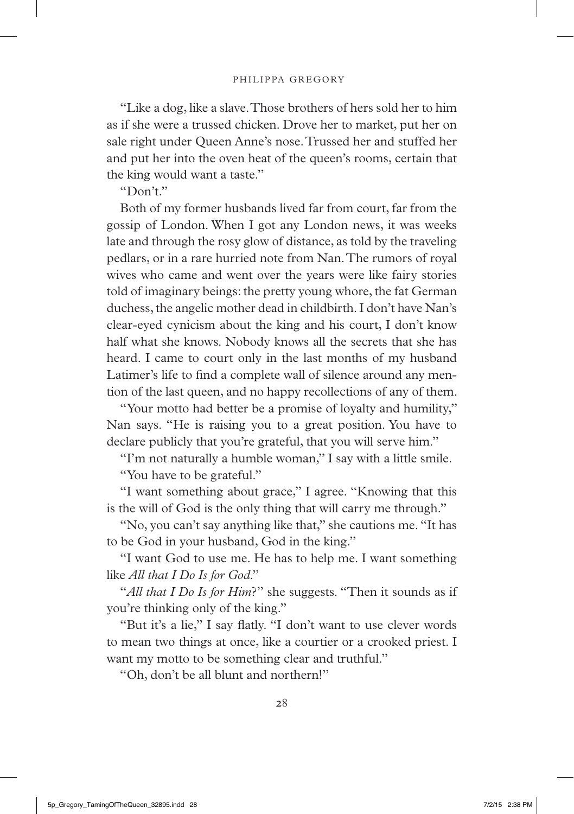"Like a dog, like a slave. Those brothers of hers sold her to him as if she were a trussed chicken. Drove her to market, put her on sale right under Queen Anne's nose. Trussed her and stuffed her and put her into the oven heat of the queen's rooms, certain that the king would want a taste."

"Don't."

Both of my former husbands lived far from court, far from the gossip of London. When I got any London news, it was weeks late and through the rosy glow of distance, as told by the traveling pedlars, or in a rare hurried note from Nan. The rumors of royal wives who came and went over the years were like fairy stories told of imaginary beings: the pretty young whore, the fat German duchess, the angelic mother dead in childbirth. I don't have Nan's clear-eyed cynicism about the king and his court, I don't know half what she knows. Nobody knows all the secrets that she has heard. I came to court only in the last months of my husband Latimer's life to fnd a complete wall of silence around any mention of the last queen, and no happy recollections of any of them.

"Your motto had better be a promise of loyalty and humility," Nan says. "He is raising you to a great position. You have to declare publicly that you're grateful, that you will serve him."

"I'm not naturally a humble woman," I say with a little smile. "You have to be grateful."

"I want something about grace," I agree. "Knowing that this is the will of God is the only thing that will carry me through."

"No, you can't say anything like that," she cautions me. "It has to be God in your husband, God in the king."

"I want God to use me. He has to help me. I want something like *All that I Do Is for God*."

"*All that I Do Is for Him*?" she suggests. "Then it sounds as if you're thinking only of the king."

"But it's a lie," I say fatly. "I don't want to use clever words to mean two things at once, like a courtier or a crooked priest. I want my motto to be something clear and truthful."

"Oh, don't be all blunt and northern!"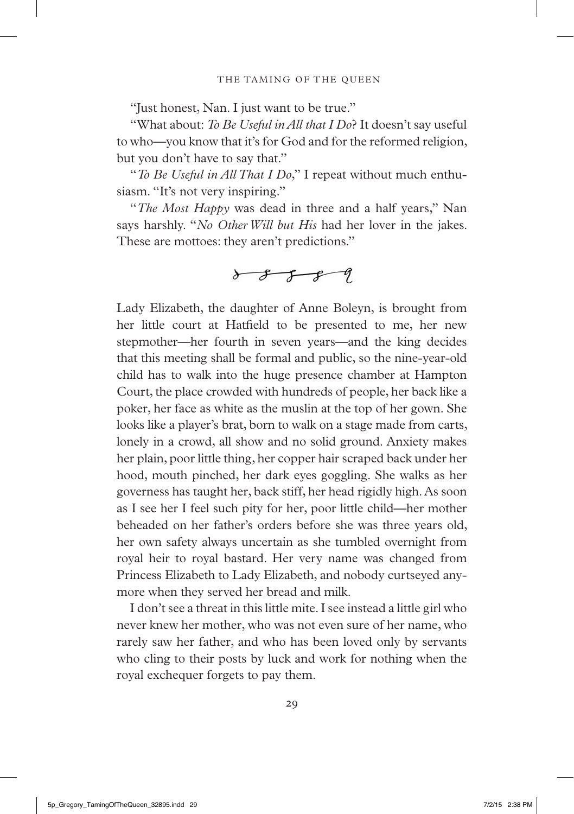"Just honest, Nan. I just want to be true."

"What about: *To Be Useful in All that I Do*? It doesn't say useful to who—you know that it's for God and for the reformed religion, but you don't have to say that."

"*To Be Useful in All That I Do*," I repeat without much enthusiasm. "It's not very inspiring."

"*The Most Happy* was dead in three and a half years," Nan says harshly. "*No Other Will but His* had her lover in the jakes. These are mottoes: they aren't predictions."



Lady Elizabeth, the daughter of Anne Boleyn, is brought from her little court at Hatfeld to be presented to me, her new stepmother—her fourth in seven years—and the king decides that this meeting shall be formal and public, so the nine-year-old child has to walk into the huge presence chamber at Hampton Court, the place crowded with hundreds of people, her back like a poker, her face as white as the muslin at the top of her gown. She looks like a player's brat, born to walk on a stage made from carts, lonely in a crowd, all show and no solid ground. Anxiety makes her plain, poor little thing, her copper hair scraped back under her hood, mouth pinched, her dark eyes goggling. She walks as her governess has taught her, back stiff, her head rigidly high. As soon as I see her I feel such pity for her, poor little child—her mother beheaded on her father's orders before she was three years old, her own safety always uncertain as she tumbled overnight from royal heir to royal bastard. Her very name was changed from Princess Elizabeth to Lady Elizabeth, and nobody curtseyed anymore when they served her bread and milk.

I don't see a threat in this little mite. I see instead a little girl who never knew her mother, who was not even sure of her name, who rarely saw her father, and who has been loved only by servants who cling to their posts by luck and work for nothing when the royal exchequer forgets to pay them.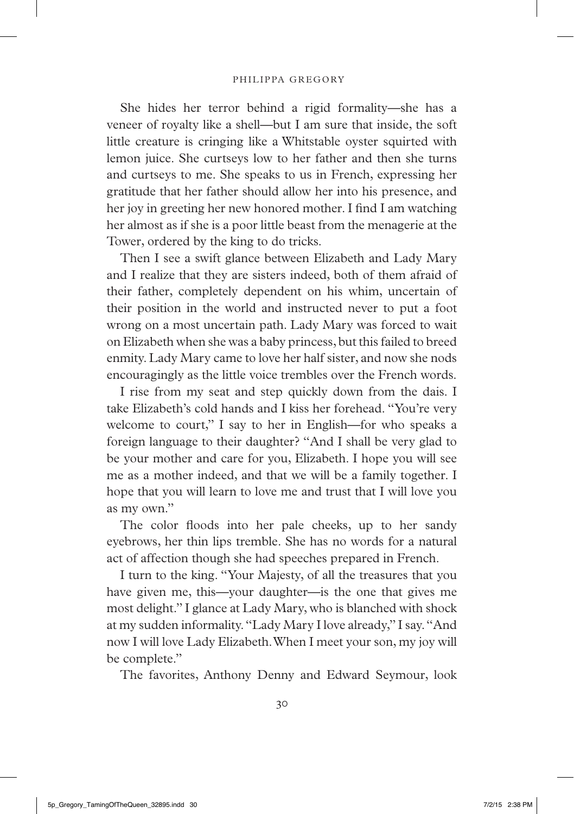She hides her terror behind a rigid formality—she has a veneer of royalty like a shell—but I am sure that inside, the soft little creature is cringing like a Whitstable oyster squirted with lemon juice. She curtseys low to her father and then she turns and curtseys to me. She speaks to us in French, expressing her gratitude that her father should allow her into his presence, and her joy in greeting her new honored mother. I fnd I am watching her almost as if she is a poor little beast from the menagerie at the Tower, ordered by the king to do tricks.

Then I see a swift glance between Elizabeth and Lady Mary and I realize that they are sisters indeed, both of them afraid of their father, completely dependent on his whim, uncertain of their position in the world and instructed never to put a foot wrong on a most uncertain path. Lady Mary was forced to wait on Elizabeth when she was a baby princess, but this failed to breed enmity. Lady Mary came to love her half sister, and now she nods encouragingly as the little voice trembles over the French words.

I rise from my seat and step quickly down from the dais. I take Elizabeth's cold hands and I kiss her forehead. "You're very welcome to court," I say to her in English—for who speaks a foreign language to their daughter? "And I shall be very glad to be your mother and care for you, Elizabeth. I hope you will see me as a mother indeed, and that we will be a family together. I hope that you will learn to love me and trust that I will love you as my own."

The color floods into her pale cheeks, up to her sandy eyebrows, her thin lips tremble. She has no words for a natural act of affection though she had speeches prepared in French.

I turn to the king. "Your Majesty, of all the treasures that you have given me, this—your daughter—is the one that gives me most delight." I glance at Lady Mary, who is blanched with shock at my sudden informality."Lady Mary I love already," I say."And now I will love Lady Elizabeth. When I meet your son, my joy will be complete."

The favorites, Anthony Denny and Edward Seymour, look